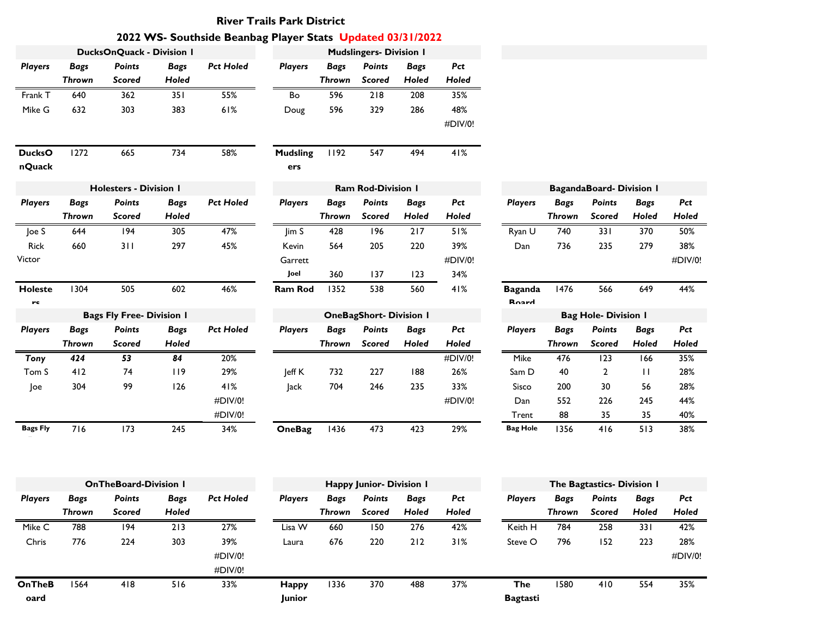## **River Trails Park District**

## **2022 WS- Southside Beanbag Player Stats Updated 03/31/2022**

|                       |               | <b>DucksOnQuack - Division I</b> |             |                  |                 |               | <b>Mudslingers- Division I</b> |             |         |                                |               |                                |              |         |
|-----------------------|---------------|----------------------------------|-------------|------------------|-----------------|---------------|--------------------------------|-------------|---------|--------------------------------|---------------|--------------------------------|--------------|---------|
| <b>Players</b>        | <b>Bags</b>   | <b>Points</b>                    | <b>Bags</b> | <b>Pct Holed</b> | <b>Players</b>  | <b>Bags</b>   | <b>Points</b>                  | <b>Bags</b> | Pct     |                                |               |                                |              |         |
|                       | <b>Thrown</b> | <b>Scored</b>                    | Holed       |                  |                 | <b>Thrown</b> | <b>Scored</b>                  | Holed       | Holed   |                                |               |                                |              |         |
| Frank T               | 640           | 362                              | 351         | 55%              | Bo              | 596           | 218                            | 208         | 35%     |                                |               |                                |              |         |
| Mike G                | 632           | 303                              | 383         | 61%              | Doug            | 596           | 329                            | 286         | 48%     |                                |               |                                |              |         |
|                       |               |                                  |             |                  |                 |               |                                |             | #DIV/0! |                                |               |                                |              |         |
| <b>DucksO</b>         | 1272          | 665                              | 734         | 58%              | <b>Mudsling</b> | 1192          | 547                            | 494         | 41%     |                                |               |                                |              |         |
| nQuack                |               |                                  |             |                  | ers             |               |                                |             |         |                                |               |                                |              |         |
|                       |               | <b>Holesters - Division I</b>    |             |                  |                 |               | Ram Rod-Division I             |             |         |                                |               | <b>BagandaBoard-Division I</b> |              |         |
| <b>Players</b>        | <b>Bags</b>   | <b>Points</b>                    | <b>Bags</b> | <b>Pct Holed</b> | <b>Players</b>  | <b>Bags</b>   | <b>Points</b>                  | <b>Bags</b> | Pct     | <b>Players</b>                 | <b>Bags</b>   | <b>Points</b>                  | <b>Bags</b>  | Pct     |
|                       | <b>Thrown</b> | <b>Scored</b>                    | Holed       |                  |                 | Thrown        | <b>Scored</b>                  | Holed       | Holed   |                                | <b>Thrown</b> | <b>Scored</b>                  | Holed        | Holed   |
| Joe S                 | 644           | 194                              | 305         | 47%              | $\lim S$        | 428           | 196                            | 217         | 51%     | Ryan U                         | 740           | 331                            | 370          | 50%     |
| <b>Rick</b>           | 660           | 311                              | 297         | 45%              | Kevin           | 564           | 205                            | 220         | 39%     | Dan                            | 736           | 235                            | 279          | 38%     |
| Victor                |               |                                  |             |                  | Garrett         |               |                                |             | #DIV/0! |                                |               |                                |              | #DIV/0! |
|                       |               |                                  |             |                  | Joel            | 360           | 137                            | 123         | 34%     |                                |               |                                |              |         |
| <b>Holeste</b><br>we. | 1304          | 505                              | 602         | 46%              | Ram Rod         | 1352          | 538                            | 560         | 41%     | <b>Baganda</b><br><b>Roord</b> | 1476          | 566                            | 649          | 44%     |
|                       |               | <b>Bags Fly Free- Division I</b> |             |                  |                 |               | <b>OneBagShort- Division I</b> |             |         |                                |               | <b>Bag Hole- Division I</b>    |              |         |
| <b>Players</b>        | <b>Bags</b>   | <b>Points</b>                    | <b>Bags</b> | <b>Pct Holed</b> | <b>Players</b>  | <b>Bags</b>   | <b>Points</b>                  | <b>Bags</b> | Pct     | <b>Players</b>                 | <b>Bags</b>   | Points                         | <b>Bags</b>  | Pct     |
|                       | <b>Thrown</b> | <b>Scored</b>                    | Holed       |                  |                 | Thrown        | <b>Scored</b>                  | Holed       | Holed   |                                | <b>Thrown</b> | <b>Scored</b>                  | Holed        | Holed   |
| <b>Tony</b>           | 424           | 53                               | 84          | 20%              |                 |               |                                |             | #DIV/0! | Mike                           | 476           | 123                            | 166          | 35%     |
| Tom S                 | 412           | 74                               | 119         | 29%              | Jeff K          | 732           | 227                            | 188         | 26%     | Sam D                          | 40            | $\overline{2}$                 | $\mathbf{H}$ | 28%     |
| Joe                   | 304           | 99                               | 126         | 41%              | Jack            | 704           | 246                            | 235         | 33%     | Sisco                          | 200           | 30                             | 56           | 28%     |
|                       |               |                                  |             | #DIV/0!          |                 |               |                                |             | #DIV/0! | Dan                            | 552           | 226                            | 245          | 44%     |
|                       |               |                                  |             | #DIV/0!          |                 |               |                                |             |         | Trent                          | 88            | 35                             | 35           | 40%     |
| <b>Bags Fly</b>       | 716           | 173                              | 245         | 34%              | <b>OneBag</b>   | 1436          | 473                            | 423         | 29%     | <b>Bag Hole</b>                | 1356          | 416                            | 513          | 38%     |
|                       |               |                                  |             |                  |                 |               |                                |             |         |                                |               |                                |              |         |
|                       |               |                                  |             |                  |                 |               |                                |             |         |                                |               |                                |              |         |
|                       |               | $O = T \cup D \cup C \cup D$     |             |                  |                 | 11.44         | al Islam Military I            |             |         |                                |               | The Backerster Billiard L      |              |         |

|                |        | <b>OnTheBoard-Division I</b> |             |                  |                |        | <b>Happy Junior- Division I</b> |             |       |                 |             | The Bagtastics- Division 1 |             |         |
|----------------|--------|------------------------------|-------------|------------------|----------------|--------|---------------------------------|-------------|-------|-----------------|-------------|----------------------------|-------------|---------|
| <b>Players</b> | Bags   | <b>Points</b>                | <b>Bags</b> | <b>Pct Holed</b> | <b>Players</b> | Bags   | <b>Points</b>                   | <b>Bags</b> | Pct   | <b>Players</b>  | <b>Bags</b> | <b>Points</b>              | <b>Bags</b> | Pct     |
|                | Thrown | <b>Scored</b>                | Holed       |                  |                | Thrown | <b>Scored</b>                   | Holed       | Holed |                 | Thrown      | Scored                     | Holed       | Holed   |
| Mike C         | 788    | 194                          | 213         | 27%              | Lisa W         | 660    | 50 ا                            | 276         | 42%   | Keith H         | 784         | 258                        | 331         | 42%     |
| Chris          | 776    | 224                          | 303         | 39%              | Laura          | 676    | 220                             | 212         | 31%   | Steve O         | 796         | 152                        | 223         | 28%     |
|                |        |                              |             | #DIV/0!          |                |        |                                 |             |       |                 |             |                            |             | #DIV/0! |
|                |        |                              |             | #DIV/0!          |                |        |                                 |             |       |                 |             |                            |             |         |
| OnTheB         | 1564   | 418                          | 516         | 33%              | <b>Happy</b>   | 1336   | 370                             | 488         | 37%   | The             | 580         | 410                        | 554         | 35%     |
| oard           |        |                              |             |                  | <b>Junior</b>  |        |                                 |             |       | <b>Bagtasti</b> |             |                            |             |         |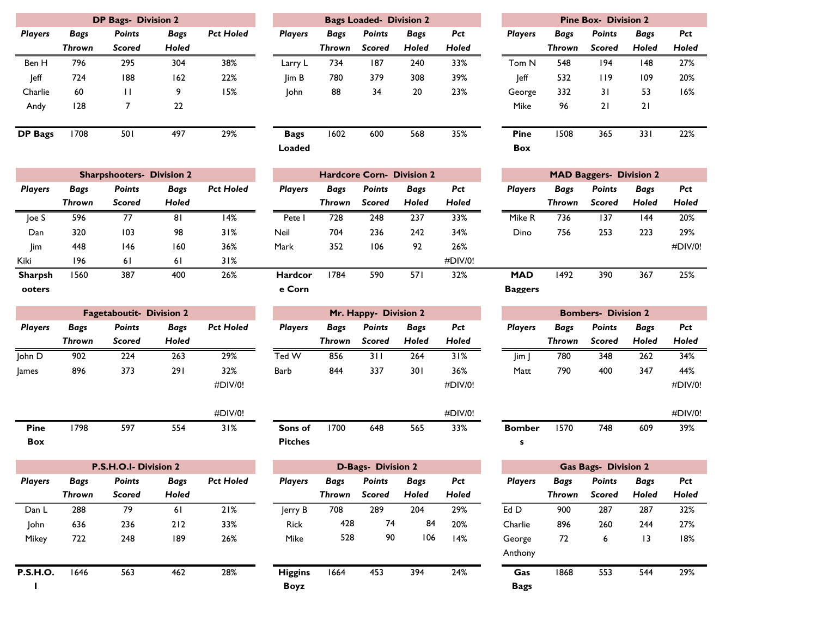|                |        | <b>DP Bags- Division 2</b> |             |                  |
|----------------|--------|----------------------------|-------------|------------------|
| <b>Players</b> | Bags   | <b>Points</b>              | <b>Bags</b> | <b>Pct Holed</b> |
|                | Thrown | Scored                     | Holed       |                  |
| Ben H          | 796    | 295                        | 304         | 38%              |
| leff           | 724    | 188                        | 162         | 22%              |
| Charlie        | 60     | П                          | 9           | 15%              |
| Andy           | 128    | 7                          | 22          |                  |
|                |        |                            |             |                  |
| <b>DP</b> Bags | 1708   | 501                        | 497         | 29%              |
|                |        |                            |             |                  |

|                |             | <b>DP Bags- Division 2</b> |       | <b>Bags Loaded- Division 2</b> |                |        |               |             | <b>Pine Box- Division 2</b> |                |        |               |              |      |
|----------------|-------------|----------------------------|-------|--------------------------------|----------------|--------|---------------|-------------|-----------------------------|----------------|--------|---------------|--------------|------|
| <b>Players</b> | <b>Bags</b> | <b>Points</b>              | Bags  | <b>Pct Holed</b>               | <b>Players</b> | Bags   | <b>Points</b> | <b>Bags</b> | Pct                         | <b>Players</b> | Bags   | <b>Points</b> | <b>Bags</b>  | Pct  |
|                | Thrown      | <b>Scored</b>              | Holed |                                |                | Thrown | <b>Scored</b> | Holed       | Holed                       |                | Thrown | <b>Scored</b> | <b>Holed</b> | Hole |
| Ben H          | 796         | 295                        | 304   | 38%                            | Larry L        | 734    | 187           | 240         | 33%                         | Tom N          | 548    | 194           | 148          | 27%  |
| leff           | 724         | 188                        | 162   | 22%                            | lim B          | 780    | 379           | 308         | 39%                         | <b>Jeff</b>    | 532    | 119           | 109          | 20%  |
| Charlie        | 60          | П                          | 9     | l 5%                           | John           | 88     | 34            | 20          | 23%                         | George         | 332    | 31            | 53           | 16%  |
| Andy           | 128         |                            | 22    |                                |                |        |               |             |                             | Mike           | 96     | 21            | 21           |      |
| DP Bags        | 1708        | 501                        | 497   | 29%                            | <b>Bags</b>    | 1602   | 600           | 568         | 35%                         | <b>Pine</b>    | 508    | 365           | 331          | 22%  |
|                |             |                            |       |                                | Loaded         |        |               |             |                             | <b>Box</b>     |        |               |              |      |

|                  |        | <b>Pine Box- Division 2</b> |       |       |
|------------------|--------|-----------------------------|-------|-------|
| <b>Players</b>   | Bags   | <b>Points</b>               | Bags  | Pct   |
|                  | Thrown | Scored                      | Holed | Holed |
| Tom <sub>N</sub> | 548    | 194                         | 148   | 27%   |
| leff             | 532    | 119                         | 109   | 20%   |
| George           | 332    | 31                          | 53    | 16%   |
| Mike             | 96     | 21                          | 21    |       |
|                  |        |                             |       |       |
| Pine             | 1508   | 365                         | 33 I  | 22%   |
| Box              |        |                             |       |       |

|                |        | <b>Sharpshooters- Division 2</b> |             |                  |                |        | <b>Hardcore Corn- Division 2</b> |       |         |                |             | <b>MAD Baggers- Division 2</b> |             |         |
|----------------|--------|----------------------------------|-------------|------------------|----------------|--------|----------------------------------|-------|---------|----------------|-------------|--------------------------------|-------------|---------|
| <b>Players</b> | Bags   | <b>Points</b>                    | <b>Bags</b> | <b>Pct Holed</b> | <b>Players</b> | Bags   | <b>Points</b>                    | Bags  | Pct     | <b>Players</b> | <b>Bags</b> | <b>Points</b>                  | <b>Bags</b> | Pct     |
|                | Thrown | <b>Scored</b>                    | Holed       |                  |                | Thrown | <b>Scored</b>                    | Holed | Holed   |                | Thrown      | Scored                         | Holed       | Holed   |
| loe S          | 596    | 77                               | 81          | 14%              | Pete           | 728    | 248                              | 237   | 33%     | Mike R         | 736         | 137                            | 144         | 20%     |
| Dan            | 320    | 103                              | 98          | 31%              | Neil           | 704    | 236                              | 242   | 34%     | Dino           | 756         | 253                            | 223         | 29%     |
| Jim            | 448    | 146                              | 160         | 36%              | Mark           | 352    | 106                              | 92    | 26%     |                |             |                                |             | #DIV/0! |
| Kiki           | 196    | 6 I                              | 61          | 31%              |                |        |                                  |       | #DIV/0! |                |             |                                |             |         |
| <b>Sharpsh</b> | 1560   | 387                              | 400         | 26%              | <b>Hardcor</b> | 1784   | 590                              | 571   | 32%     | <b>MAD</b>     | 1492        | 390                            | 367         | 25%     |
| ooters         |        |                                  |             |                  | e Corn         |        |                                  |       |         | <b>Baggers</b> |             |                                |             |         |

|                |        | <b>Fagetaboutit- Division 2</b> |       | Mr. Happy- Division 2 |                |        |               | <b>Bombers- Division 2</b> |             |  |                |        |               |             |       |
|----------------|--------|---------------------------------|-------|-----------------------|----------------|--------|---------------|----------------------------|-------------|--|----------------|--------|---------------|-------------|-------|
| <b>Players</b> | Bags   | <b>Points</b>                   | Bags  | <b>Pct Holed</b>      | <b>Players</b> | Bags   | <b>Points</b> | <b>Bags</b>                | Pct         |  | <b>Players</b> | Bags   | <b>Points</b> | <b>Bags</b> | Pct   |
|                | Thrown | <b>Scored</b>                   | Holed |                       |                | Thrown | Scored        | Holed                      | Holed       |  |                | Thrown | Scored        | Holed       | Hole  |
| John D         | 902    | 224                             | 263   | 29%                   | Ted W          | 856    | 311           | 264                        | 31%         |  | Jim,           | 780    | 348           | 262         | 34%   |
| <b>James</b>   | 896    | 373                             | 291   | 32%                   | Barb           | 844    | 337           | 301                        | 36%         |  | Matt           | 790    | 400           | 347         | 44%   |
|                |        |                                 |       | #DIV/0!               |                |        |               |                            | $\#$ DIV/0! |  |                |        |               |             | #DIV/ |
|                |        |                                 |       | #DIV/0!               |                |        |               |                            | $\#$ DIV/0! |  |                |        |               |             | #DIV/ |

|             |      |     |     | $\pi$ Divide |  |
|-------------|------|-----|-----|--------------|--|
| <b>Pine</b> | 1798 | 597 | 554 | 31%          |  |
| <b>Box</b>  |      |     |     |              |  |

| P.S.H.O.I- Division 2 |        |               |             |                  | <b>D-Bags-</b> Division 2 |        |               |              |       | <b>Gas Bags- Division 2</b> |             |               |             |      |
|-----------------------|--------|---------------|-------------|------------------|---------------------------|--------|---------------|--------------|-------|-----------------------------|-------------|---------------|-------------|------|
| <b>Players</b>        | Bags   | <b>Points</b> | <b>Bags</b> | <b>Pct Holed</b> | <b>Players</b>            | Bags   | <b>Points</b> | Bags         | Pct   | <b>Players</b>              | <b>Bags</b> | <b>Points</b> | <b>Bags</b> | Pct  |
|                       | Thrown | <b>Scored</b> | Holed       |                  |                           | Thrown | <b>Scored</b> | <b>Holed</b> | Holed |                             | Thrown      | <b>Scored</b> | Holed       | Hole |
| Dan L                 | 288    | 79            | 6 I         | 21%              | lerry B                   | 708    | 289           | 204          | 29%   | Ed D                        | 900         | 287           | 287         | 32%  |
| <b>John</b>           | 636    | 236           | 212         | 33%              | <b>Rick</b>               | 428    | 74            | 84           | 20%   | Charlie                     | 896         | 260           | 244         | 27%  |
| Mikey                 | 722    | 248           | 189         | 26%              | Mike                      | 528    | 90            | 106          | 14%   | George                      | 72          | O             | 13          | 18%  |
|                       |        |               |             |                  |                           |        |               |              |       | Anthony                     |             |               |             |      |
| <b>P.S.H.O.</b>       | 1646   | 563           | 462         | 28%              | <b>Higgins</b>            | 1664   | 453           | 394          | 24%   | Gas                         | 1868        | 553           | 544         | 29%  |
|                       |        |               |             |                  | <b>Boyz</b>               |        |               |              |       | <b>Bags</b>                 |             |               |             |      |

| າ 2 |                  |                |        | <b>Hardcore Corn- Division 2</b> |       |         |                |
|-----|------------------|----------------|--------|----------------------------------|-------|---------|----------------|
| ZS. | <b>Pct Holed</b> | <b>Players</b> | Bags   | <b>Points</b>                    | Bags  | Pct     | <b>Players</b> |
| ed  |                  |                | Thrown | <b>Scored</b>                    | Holed | Holed   |                |
|     | 14%              | Pete I         | 728    | 248                              | 237   | 33%     | Mike R         |
|     | 31%              | Neil           | 704    | 236                              | 242   | 34%     | Dino           |
| ٥   | 36%              | Mark           | 352    | 106                              | 92    | 26%     |                |
|     | 31%              |                |        |                                  |       | #DIV/0! |                |
| ٥   | 26%              | <b>Hardcor</b> | 1784   | 590                              | 571   | 32%     | <b>MAD</b>     |
|     |                  | e Corn         |        |                                  |       |         | <b>Bagger</b>  |

|           |                |             | Mr. Happy- Division 2 |       |             |                |        | <b>Bombers- Division 2</b> |             |              |
|-----------|----------------|-------------|-----------------------|-------|-------------|----------------|--------|----------------------------|-------------|--------------|
| Pct Holed | <b>Players</b> | <b>Bags</b> | <b>Points</b>         | Bags  | Pct         | <b>Players</b> | Bags   | <b>Points</b>              | <b>Bags</b> | Pct          |
|           |                | Thrown      | <b>Scored</b>         | Holed | Holed       |                | Thrown | <b>Scored</b>              | Holed       | <b>Holed</b> |
| 29%       | Ted W          | 856         | 3 I I                 | 264   | 31%         | $\lim$         | 780    | 348                        | 262         | 34%          |
| 32%       | Barb           | 844         | 337                   | 301   | 36%         | Matt           | 790    | 400                        | 347         | 44%          |
| #DIV/0!   |                |             |                       |       | $\#$ DIV/0! |                |        |                            |             | #DIV/0!      |

|                |      |     |     | #DIV/0! |               |      |     |
|----------------|------|-----|-----|---------|---------------|------|-----|
| Sons of        | 1700 | 648 | 565 | 33%     | <b>Bomber</b> | 1570 | 748 |
| <b>Pitches</b> |      |     |     |         |               |      |     |

| P.S.H.O.I- Division 2 |             |                  |                |             |               |              |              |             |
|-----------------------|-------------|------------------|----------------|-------------|---------------|--------------|--------------|-------------|
| <b>Points</b>         | <b>Bags</b> | <b>Pct Holed</b> | <b>Players</b> | <b>Bags</b> | <b>Points</b> | <b>Bags</b>  | Pct          | Player      |
| <b>Scored</b>         | Holed       |                  |                | Thrown      | <b>Scored</b> | <b>Holed</b> | <b>Holed</b> |             |
| 79                    | 61          | 21%              | Jerry B        | 708         | 289           | 204          | 29%          | Ed D        |
| 236                   | 212         | 33%              | <b>Rick</b>    | 428         | 74            | 84           | 20%          | Charlie     |
| 248                   | 189         | 26%              | Mike           | 528         | 90            | 106          | 14%          | George      |
|                       |             |                  |                |             |               |              |              | Anthony     |
| 563                   | 462         | 28%              | <b>Higgins</b> | 1664        | 453           | 394          | 24%          | Gas         |
|                       |             |                  | <b>Boyz</b>    |             |               |              |              | <b>Bags</b> |

| <b>MAD Baggers- Division 2</b> |        |               |             |             |  |  |  |  |  |  |  |  |
|--------------------------------|--------|---------------|-------------|-------------|--|--|--|--|--|--|--|--|
| <b>Players</b>                 | Bags   | <b>Points</b> | <b>Bags</b> | Pct         |  |  |  |  |  |  |  |  |
|                                | Thrown | Scored        | Holed       | Holed       |  |  |  |  |  |  |  |  |
| Mike R                         | 736    | 137           | 144         | 20%         |  |  |  |  |  |  |  |  |
| Dino                           | 756    | 253           | 223         | 29%         |  |  |  |  |  |  |  |  |
|                                |        |               |             | $\#$ DIV/0! |  |  |  |  |  |  |  |  |
|                                |        |               |             |             |  |  |  |  |  |  |  |  |
| MAD                            | 1492   | 390           | 367         | 25%         |  |  |  |  |  |  |  |  |
| <b>Baggers</b>                 |        |               |             |             |  |  |  |  |  |  |  |  |

|          |                |             | Mr. Happy- Division 2 |             |              | <b>Bombers- Division 2</b> |             |               |              |             |  |  |
|----------|----------------|-------------|-----------------------|-------------|--------------|----------------------------|-------------|---------------|--------------|-------------|--|--|
| ct Holed | <b>Players</b> | <b>Bags</b> | <b>Points</b>         | <b>Bags</b> | Pct          | <b>Players</b>             | <b>Bags</b> | <b>Points</b> | <b>Bags</b>  | <b>Pct</b>  |  |  |
|          |                | Thrown      | <b>Scored</b>         | Holed       | <b>Holed</b> |                            | Thrown      | Scored        | <b>Holed</b> | Holed       |  |  |
| 29%      | Ted W          | 856         | 3 I I                 | 264         | 31%          | Jim J                      | 780         | 348           | 262          | 34%         |  |  |
| 32%      | Barb           | 844         | 337                   | 30 I        | 36%          | Matt                       | 790         | 400           | 347          | 44%         |  |  |
| #DIV/0!  |                |             |                       |             | $\#$ DIV/0!  |                            |             |               |              | $\#$ DIV/0! |  |  |
| #DIV/0!  |                |             |                       |             | $\#$ DIV/0!  |                            |             |               |              | #DIV/0!     |  |  |
| 31%      | Sons of        | 1700        | 648                   | 565         | 33%          | <b>Bomber</b>              | 1570        | 748           | 609          | 39%         |  |  |

| n 2                  |                     |                    | <b>Gas Bags- Division 2</b> |                                |               |              |  |  |  |  |  |  |
|----------------------|---------------------|--------------------|-----------------------------|--------------------------------|---------------|--------------|--|--|--|--|--|--|
| <b>Bags</b><br>Holed | <b>Pct</b><br>Holed | <b>Players</b>     | Bags<br>Thrown              | <b>Points</b><br><b>Scored</b> | Bags<br>Holed | Pct<br>Holed |  |  |  |  |  |  |
| 204                  | 29%                 | Ed D               | 900                         | 287                            | 287           | 32%          |  |  |  |  |  |  |
| 84                   | 20%                 | Charlie            | 896                         | 260                            | 244           | 27%          |  |  |  |  |  |  |
| 106                  | 14%                 | George<br>Anthony  | 72                          | 6                              | 13            | 18%          |  |  |  |  |  |  |
| 394                  | 24%                 | Gas<br><b>Bags</b> | 1868                        | 553                            | 544           | 29%          |  |  |  |  |  |  |